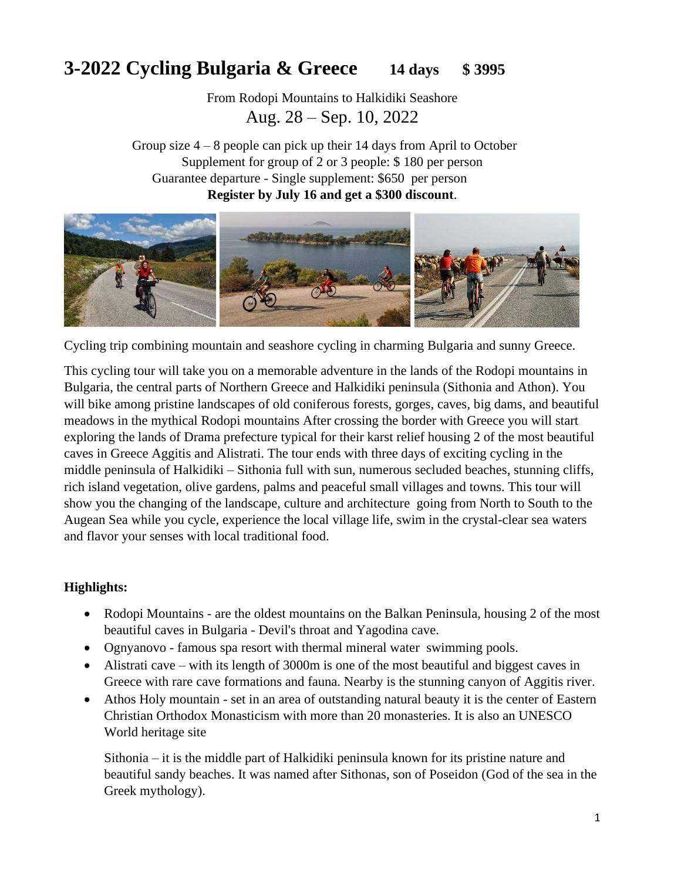# **3-2022 Cycling Bulgaria & Greece 14 days \$ 3995**

From Rodopi Mountains to Halkidiki Seashore Aug. 28 – Sep. 10, 2022

Group size  $4 - 8$  people can pick up their 14 days from April to October Supplement for group of 2 or 3 people: \$ 180 per person Guarantee departure - Single supplement: \$650 per person **Register by July 16 and get a \$300 discount**.



Cycling trip combining mountain and seashore cycling in charming Bulgaria and sunny Greece.

This cycling tour will take you on a memorable adventure in the lands of the Rodopi mountains in Bulgaria, the central parts of Northern Greece and Halkidiki peninsula (Sithonia and Athon). You will bike among pristine landscapes of old coniferous forests, gorges, caves, big dams, and beautiful meadows in the mythical Rodopi mountains After crossing the border with Greece you will start exploring the lands of Drama prefecture typical for their karst relief housing 2 of the most beautiful caves in Greece Aggitis and Alistrati. The tour ends with three days of exciting cycling in the middle peninsula of Halkidiki – Sithonia full with sun, numerous secluded beaches, stunning cliffs, rich island vegetation, olive gardens, palms and peaceful small villages and towns. This tour will show you the changing of the landscape, culture and architecture going from North to South to the Augean Sea while you cycle, experience the local village life, swim in the crystal-clear sea waters and flavor your senses with local traditional food.

# **Highlights:**

- Rodopi Mountains are the oldest mountains on the Balkan Peninsula, housing 2 of the most beautiful caves in Bulgaria - Devil's throat and Yagodina cave.
- Ognyanovo famous spa resort with thermal mineral water swimming pools.
- Alistrati cave with its length of 3000m is one of the most beautiful and biggest caves in Greece with rare cave formations and fauna. Nearby is the stunning canyon of Aggitis river.
- Athos Holy mountain set in an area of outstanding natural beauty it is the center of Eastern Christian Orthodox Monasticism with more than 20 monasteries. It is also an UNESCO World heritage site

Sithonia – it is the middle part of Halkidiki peninsula known for its pristine nature and beautiful sandy beaches. It was named after Sithonas, son of Poseidon (God of the sea in the Greek mythology).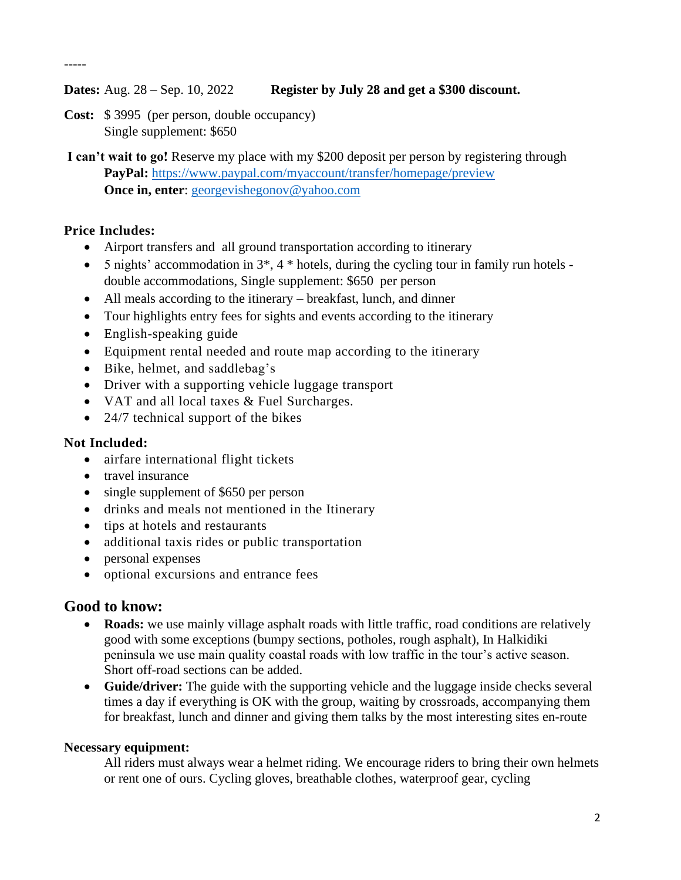-----

## **Dates:** Aug. 28 – Sep. 10, 2022 **Register by July 28 and get a \$300 discount.**

- **Cost:** \$ 3995 (per person, double occupancy) Single supplement: \$650
- **I can't wait to go!** Reserve my place with my \$200 deposit per person by registering through **PayPal:** <https://www.paypal.com/myaccount/transfer/homepage/preview> **Once in, enter**: [georgevishegonov@yahoo.com](mailto:georgevishegonov@yahoo.com)

# **Price Includes:**

- Airport transfers and all ground transportation according to itinerary
- 5 nights' accommodation in  $3^*$ ,  $4^*$  hotels, during the cycling tour in family run hotels double accommodations, Single supplement: \$650 per person
- All meals according to the itinerary breakfast, lunch, and dinner
- Tour highlights entry fees for sights and events according to the itinerary
- English-speaking guide
- Equipment rental needed and route map according to the itinerary
- Bike, helmet, and saddlebag's
- Driver with a supporting vehicle luggage transport
- VAT and all local taxes & Fuel Surcharges.
- 24/7 technical support of the bikes

## **Not Included:**

- airfare international flight tickets
- travel insurance
- single supplement of \$650 per person
- drinks and meals not mentioned in the Itinerary
- tips at hotels and restaurants
- additional taxis rides or public transportation
- personal expenses
- optional excursions and entrance fees

# **Good to know:**

- **Roads:** we use mainly village asphalt roads with little traffic, road conditions are relatively good with some exceptions (bumpy sections, potholes, rough asphalt), In Halkidiki peninsula we use main quality coastal roads with low traffic in the tour's active season. Short off-road sections can be added.
- **Guide/driver:** The guide with the supporting vehicle and the luggage inside checks several times a day if everything is OK with the group, waiting by crossroads, accompanying them for breakfast, lunch and dinner and giving them talks by the most interesting sites en-route

# **Necessary equipment:**

All riders must always wear a helmet riding. We encourage riders to bring their own helmets or rent one of ours. Cycling gloves, breathable clothes, waterproof gear, cycling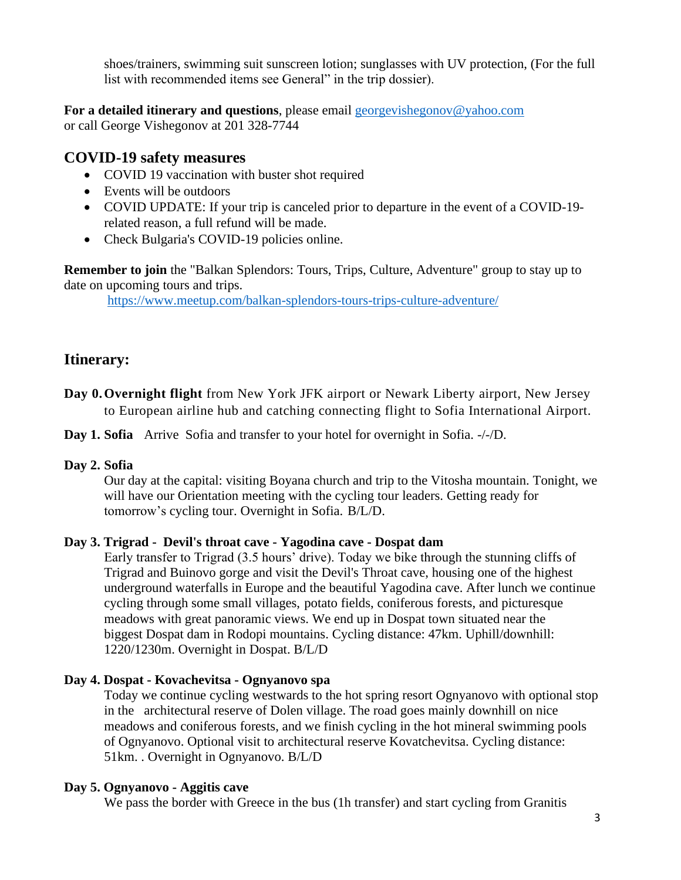shoes/trainers, swimming suit sunscreen lotion; sunglasses with UV protection, (For the full list with recommended items see General" in the trip dossier).

**For a detailed itinerary and questions**, please email [georgevishegonov@yahoo.com](mailto:georgevishegonov@yahoo.com)  or call George Vishegonov at 201 328-7744

# **COVID-19 safety measures**

- COVID 19 vaccination with buster shot required
- Events will be outdoors
- COVID UPDATE: If your trip is canceled prior to departure in the event of a COVID-19 related reason, a full refund will be made.
- Check Bulgaria's COVID-19 policies online.

**Remember to join** the "Balkan Splendors: Tours, Trips, Culture, Adventure" group to stay up to date on upcoming tours and trips.

<https://www.meetup.com/balkan-splendors-tours-trips-culture-adventure/>

# **Itinerary:**

**Day 0.Overnight flight** from New York JFK airport or Newark Liberty airport, New Jersey to European airline hub and catching connecting flight to Sofia International Airport.

**Day 1. Sofia** Arrive Sofia and transfer to your hotel for overnight in Sofia. -/-/D.

## **Day 2. Sofia**

Our day at the capital: visiting Boyana church and trip to the Vitosha mountain. Tonight, we will have our Orientation meeting with the cycling tour leaders. Getting ready for tomorrow's cycling tour. Overnight in Sofia. B/L/D.

## **Day 3. Trigrad - Devil's throat cave - Yagodina cave - Dospat dam**

Early transfer to Trigrad (3.5 hours' drive). Today we bike through the stunning cliffs of Trigrad and Buinovo gorge and visit the Devil's Throat cave, housing one of the highest underground waterfalls in Europe and the beautiful Yagodina cave. After lunch we continue cycling through some small villages, potato fields, coniferous forests, and picturesque meadows with great panoramic views. We end up in Dospat town situated near the biggest Dospat dam in Rodopi mountains. Cycling distance: 47km. Uphill/downhill: 1220/1230m. Overnight in Dospat. B/L/D

## **Day 4. Dospat - Kovachevitsa - Ognyanovo spa**

Today we continue cycling westwards to the hot spring resort Ognyanovo with optional stop in the architectural reserve of Dolen village. The road goes mainly downhill on nice meadows and coniferous forests, and we finish cycling in the hot mineral swimming pools of Ognyanovo. Optional visit to architectural reserve Kovatchevitsa. Cycling distance: 51km. . Overnight in Ognyanovo. B/L/D

## **Day 5. Ognyanovo - Aggitis cave**

We pass the border with Greece in the bus (1h transfer) and start cycling from Granitis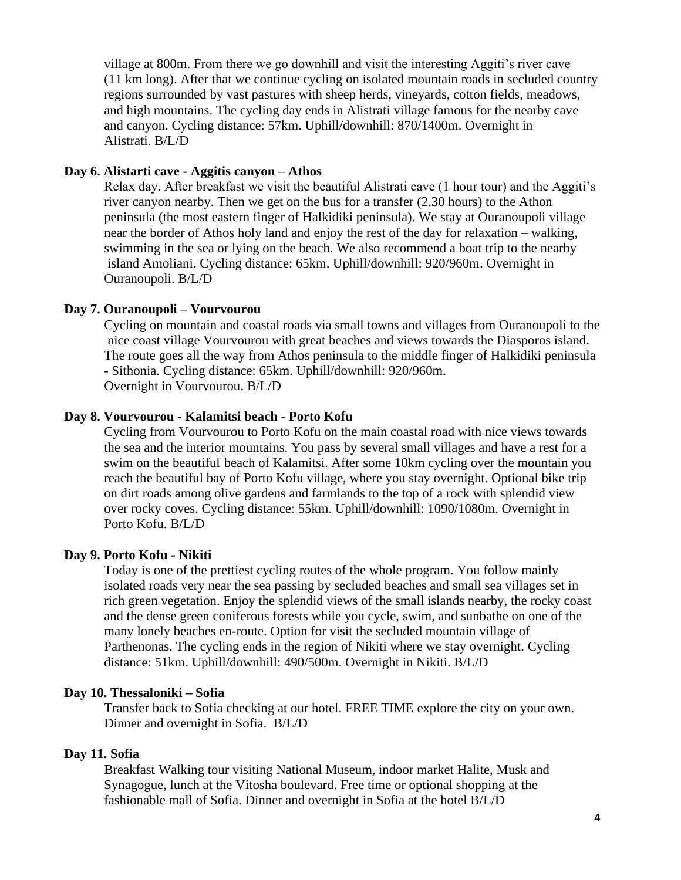village at 800m. From there we go downhill and visit the interesting Aggiti's river cave (11 km long). After that we continue cycling on isolated mountain roads in secluded country regions surrounded by vast pastures with sheep herds, vineyards, cotton fields, meadows, and high mountains. The cycling day ends in Alistrati village famous for the nearby cave and canyon. Cycling distance: 57km. Uphill/downhill: 870/1400m. Overnight in Alistrati. B/L/D

#### **Day 6. Alistarti cave - Aggitis canyon – Athos**

Relax day. After breakfast we visit the beautiful Alistrati cave (1 hour tour) and the Aggiti's river canyon nearby. Then we get on the bus for a transfer (2.30 hours) to the Athon peninsula (the most eastern finger of Halkidiki peninsula). We stay at Ouranoupoli village near the border of Athos holy land and enjoy the rest of the day for relaxation – walking, swimming in the sea or lying on the beach. We also recommend a boat trip to the nearby island Amoliani. Cycling distance: 65km. Uphill/downhill: 920/960m. Overnight in Ouranoupoli. B/L/D

#### **Day 7. Ouranoupoli – Vourvourou**

Cycling on mountain and coastal roads via small towns and villages from Ouranoupoli to the nice coast village Vourvourou with great beaches and views towards the Diasporos island. The route goes all the way from Athos peninsula to the middle finger of Halkidiki peninsula - Sithonia. Cycling distance: 65km. Uphill/downhill: 920/960m. Overnight in Vourvourou. B/L/D

#### **Day 8. Vourvourou - Kalamitsi beach - Porto Kofu**

Cycling from Vourvourou to Porto Kofu on the main coastal road with nice views towards the sea and the interior mountains. You pass by several small villages and have a rest for a swim on the beautiful beach of Kalamitsi. After some 10km cycling over the mountain you reach the beautiful bay of Porto Kofu village, where you stay overnight. Optional bike trip on dirt roads among olive gardens and farmlands to the top of a rock with splendid view over rocky coves. Cycling distance: 55km. Uphill/downhill: 1090/1080m. Overnight in Porto Kofu. B/L/D

#### **Day 9. Porto Kofu - Nikiti**

Today is one of the prettiest cycling routes of the whole program. You follow mainly isolated roads very near the sea passing by secluded beaches and small sea villages set in rich green vegetation. Enjoy the splendid views of the small islands nearby, the rocky coast and the dense green coniferous forests while you cycle, swim, and sunbathe on one of the many lonely beaches en-route. Option for visit the secluded mountain village of Parthenonas. The cycling ends in the region of Nikiti where we stay overnight. Cycling distance: 51km. Uphill/downhill: 490/500m. Overnight in Nikiti. B/L/D

#### **Day 10. Thessaloniki – Sofia**

Transfer back to Sofia checking at our hotel. FREE TIME explore the city on your own. Dinner and overnight in Sofia. B/L/D

#### **Day 11. Sofia**

Breakfast Walking tour visiting National Museum, indoor market Halite, Musk and Synagogue, lunch at the Vitosha boulevard. Free time or optional shopping at the fashionable mall of Sofia. Dinner and overnight in Sofia at the hotel B/L/D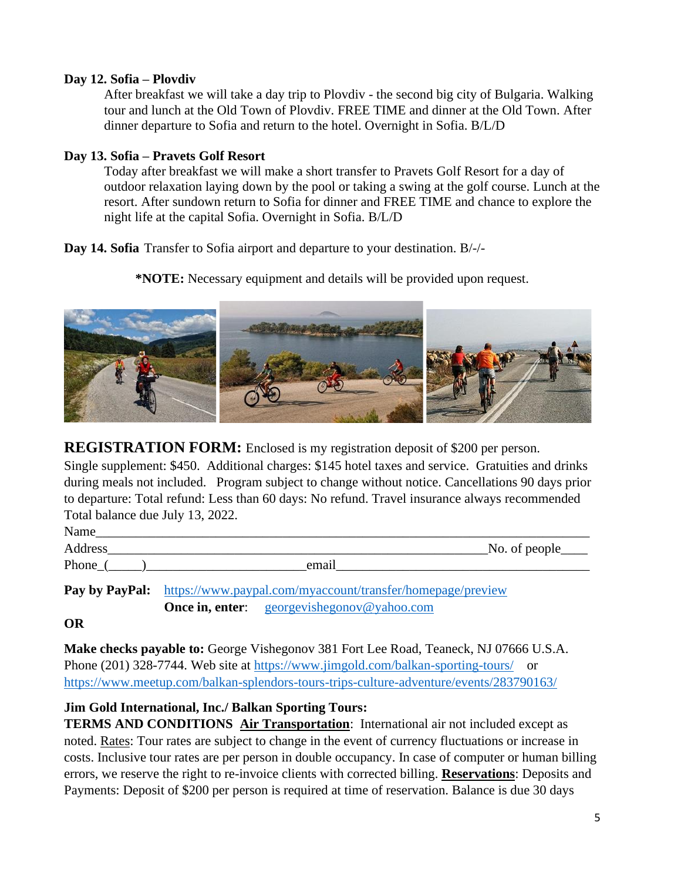#### **Day 12. Sofia – Plovdiv**

After breakfast we will take a day trip to Plovdiv - the second big city of Bulgaria. Walking tour and lunch at the Old Town of Plovdiv. FREE TIME and dinner at the Old Town. After dinner departure to Sofia and return to the hotel. Overnight in Sofia. B/L/D

## **Day 13. Sofia – Pravets Golf Resort**

Today after breakfast we will make a short transfer to Pravets Golf Resort for a day of outdoor relaxation laying down by the pool or taking a swing at the golf course. Lunch at the resort. After sundown return to Sofia for dinner and FREE TIME and chance to explore the night life at the capital Sofia. Overnight in Sofia. B/L/D

**Day 14. Sofia** Transfer to Sofia airport and departure to your destination. B/-/-

**\*NOTE:** Necessary equipment and details will be provided upon request.



**REGISTRATION FORM:** Enclosed is my registration deposit of \$200 per person.

Single supplement: \$450. Additional charges: \$145 hotel taxes and service. Gratuities and drinks during meals not included. Program subject to change without notice. Cancellations 90 days prior to departure: Total refund: Less than 60 days: No refund. Travel insurance always recommended Total balance due July 13, 2022.

| Name    |       |                        |
|---------|-------|------------------------|
| Address |       | $\Delta$ No. of people |
| Phone   | email |                        |

Pay by PayPal: <https://www.paypal.com/myaccount/transfer/homepage/preview> **Once in, enter:** georgevishegonov@yahoo.com

**OR** 

**Make checks payable to:** George Vishegonov 381 Fort Lee Road, Teaneck, NJ 07666 U.S.A. Phone (201) 328-7744. Web site at<https://www.jimgold.com/balkan-sporting-tours/>or <https://www.meetup.com/balkan-splendors-tours-trips-culture-adventure/events/283790163/>

## **Jim Gold International, Inc./ Balkan Sporting Tours:**

**TERMS AND CONDITIONS Air Transportation**: International air not included except as noted. Rates: Tour rates are subject to change in the event of currency fluctuations or increase in costs. Inclusive tour rates are per person in double occupancy. In case of computer or human billing errors, we reserve the right to re-invoice clients with corrected billing. **Reservations**: Deposits and Payments: Deposit of \$200 per person is required at time of reservation. Balance is due 30 days